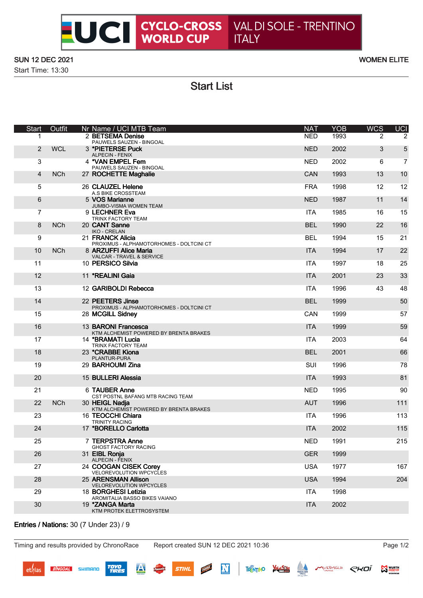## SUN 12 DEC 2021 WOMEN ELITE

Start Time: 13:30

Start List

| <b>Start</b>   | Outfit     | Nr Name / UCI MTB Team                                        | <b>NAT</b> | <b>YOB</b> | <b>WCS</b> | <b>UCI</b>     |
|----------------|------------|---------------------------------------------------------------|------------|------------|------------|----------------|
|                |            | 2 BETSEMA Denise<br>PAUWELS SAUZEN - BINGOAL                  | <b>NED</b> | 1993       | 2          | 2              |
| 2              | <b>WCL</b> | 3 *PIETERSE Puck<br><b>ALPECIN - FENIX</b>                    | <b>NED</b> | 2002       | 3          | 5              |
| 3              |            | 4 *VAN EMPEL Fem<br>PAUWELS SAUZEN - BINGOAL                  | <b>NED</b> | 2002       | 6          | $\overline{7}$ |
| $\overline{4}$ | <b>NCh</b> | 27 ROCHETTE Maghalie                                          | CAN        | 1993       | 13         | 10             |
| 5              |            | 26 CLAUZEL Helene<br>A.S BIKE CROSSTEAM                       | <b>FRA</b> | 1998       | 12         | 12             |
| 6              |            | 5 VOS Marianne<br>JUMBO-VISMA WOMEN TEAM                      | <b>NED</b> | 1987       | 11         | 14             |
| $\overline{7}$ |            | 9 LECHNER Eva<br>TRINX FACTORY TEAM                           | <b>ITA</b> | 1985       | 16         | 15             |
| 8              | <b>NCh</b> | 20 CANT Sanne<br><b>IKO - CRELAN</b>                          | <b>BEL</b> | 1990       | 22         | 16             |
| 9              |            | 21 FRANCK Alicia<br>PROXIMUS - ALPHAMOTORHOMES - DOLTCINI CT  | <b>BEL</b> | 1994       | 15         | 21             |
| 10             | <b>NCh</b> | 8 ARZUFFI Alice Maria<br>VALCAR - TRAVEL & SERVICE            | <b>ITA</b> | 1994       | 17         | 22             |
| 11             |            | 10 PERSICO Silvia                                             | <b>ITA</b> | 1997       | 18         | 25             |
| 12             |            | 11 *REALINI Gaia                                              | <b>ITA</b> | 2001       | 23         | 33             |
| 13             |            | 12 GARIBOLDI Rebecca                                          | <b>ITA</b> | 1996       | 43         | 48             |
| 14             |            | 22 PEETERS Jinse<br>PROXIMUS - ALPHAMOTORHOMES - DOLTCINI CT  | <b>BEL</b> | 1999       |            | 50             |
| 15             |            | 28 MCGILL Sidney                                              | CAN        | 1999       |            | 57             |
| 16             |            | 13 BARONI Francesca<br>KTM ALCHEMIST POWERED BY BRENTA BRAKES | <b>ITA</b> | 1999       |            | 59             |
| 17             |            | 14 *BRAMATI Lucia<br>TRINX FACTORY TEAM                       | <b>ITA</b> | 2003       |            | 64             |
| 18             |            | 23 *CRABBE Kiona<br>PLANTUR-PURA                              | <b>BEL</b> | 2001       |            | 66             |
| 19             |            | 29 BARHOUMI Zina                                              | SUI        | 1996       |            | 78             |
| 20             |            | 15 BULLERI Alessia                                            | <b>ITA</b> | 1993       |            | 81             |
| 21             |            | 6 TAUBER Anne<br>CST POSTNL BAFANG MTB RACING TEAM            | <b>NED</b> | 1995       |            | 90             |
| 22             | <b>NCh</b> | 30 HEIGL Nadja<br>KTM ALCHEMIST POWERED BY BRENTA BRAKES      | <b>AUT</b> | 1996       |            | 111            |
| 23             |            | 16 TEOCCHI Chiara<br><b>TRINITY RACING</b>                    | <b>ITA</b> | 1996       |            | 113            |
| 24             |            | 17 *BORELLO Carlotta                                          | <b>ITA</b> | 2002       |            | 115            |
| 25             |            | 7 TERPSTRA Anne<br><b>GHOST FACTORY RACING</b>                | <b>NED</b> | 1991       |            | 215            |
| 26             |            | 31 EIBL Ronja<br><b>ALPECIN - FENIX</b>                       | <b>GER</b> | 1999       |            |                |
| 27             |            | 24 COOGAN CISEK Corey<br>VELOREVOLUTION WPCYCLES              | <b>USA</b> | 1977       |            | 167            |
| 28             |            | 25 ARENSMAN Allison<br>VELOREVOLUTION WPCYCLES                | <b>USA</b> | 1994       |            | 204            |
| 29             |            | 18 <b>BORGHESI Letizia</b><br>AROMITALIA BASSO BIKES VAIANO   | <b>ITA</b> | 1998       |            |                |
| 30             |            | 19 *ZANGA Marta<br>KTM PROTEK ELETTROSYSTEM                   | <b>ITA</b> | 2002       |            |                |
|                |            |                                                               |            |            |            |                |

## Entries / Nations: 30 (7 Under 23) / 9

Timing and results provided by ChronoRace Report created SUN 12 DEC 2021 10:36 Page 1/2

N

**NARRAINT** 

**STIHL** 

THENTINO WAS A MERINGLIC CHOI SINES